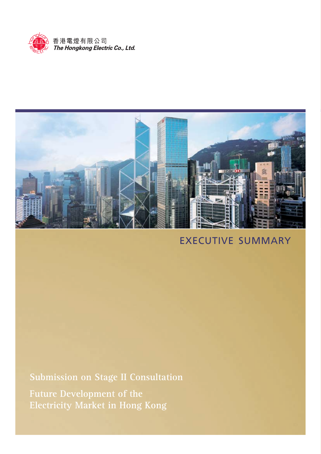



# EXECUTIVE SUMMARY

**Submission on Stage II Consultation Future Development of the Electricity Market in Hong Kong**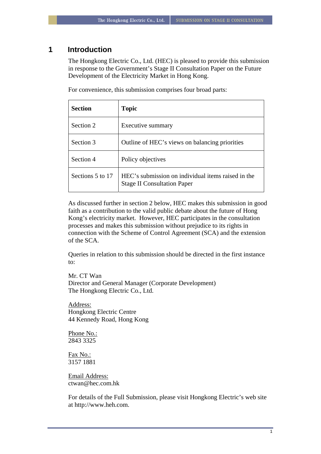## **1 Introduction**

The Hongkong Electric Co., Ltd. (HEC) is pleased to provide this submission in response to the Government's Stage II Consultation Paper on the Future Development of the Electricity Market in Hong Kong.

For convenience, this submission comprises four broad parts:

| <b>Section</b>   | <b>Topic</b>                                                                             |  |
|------------------|------------------------------------------------------------------------------------------|--|
| Section 2        | Executive summary                                                                        |  |
| Section 3        | Outline of HEC's views on balancing priorities                                           |  |
| Section 4        | Policy objectives                                                                        |  |
| Sections 5 to 17 | HEC's submission on individual items raised in the<br><b>Stage II Consultation Paper</b> |  |

As discussed further in section 2 below, HEC makes this submission in good faith as a contribution to the valid public debate about the future of Hong Kong's electricity market. However, HEC participates in the consultation processes and makes this submission without prejudice to its rights in connection with the Scheme of Control Agreement (SCA) and the extension of the SCA.

Queries in relation to this submission should be directed in the first instance to:

Mr. CT Wan Director and General Manager (Corporate Development) The Hongkong Electric Co., Ltd.

Address: Hongkong Electric Centre 44 Kennedy Road, Hong Kong

Phone No.: 2843 3325

Fax No.: 3157 1881

Email Address: ctwan@hec.com.hk

For details of the Full Submission, please visit Hongkong Electric's web site at http://www.heh.com.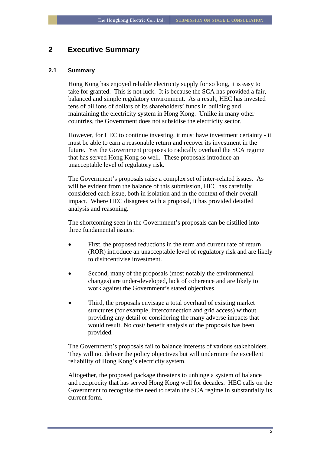# **2 Executive Summary**

## **2.1 Summary**

Hong Kong has enjoyed reliable electricity supply for so long, it is easy to take for granted. This is not luck. It is because the SCA has provided a fair, balanced and simple regulatory environment. As a result, HEC has invested tens of billions of dollars of its shareholders' funds in building and maintaining the electricity system in Hong Kong. Unlike in many other countries, the Government does not subsidise the electricity sector.

However, for HEC to continue investing, it must have investment certainty - it must be able to earn a reasonable return and recover its investment in the future. Yet the Government proposes to radically overhaul the SCA regime that has served Hong Kong so well. These proposals introduce an unacceptable level of regulatory risk.

The Government's proposals raise a complex set of inter-related issues. As will be evident from the balance of this submission. HEC has carefully considered each issue, both in isolation and in the context of their overall impact. Where HEC disagrees with a proposal, it has provided detailed analysis and reasoning.

The shortcoming seen in the Government's proposals can be distilled into three fundamental issues:

- First, the proposed reductions in the term and current rate of return (ROR) introduce an unacceptable level of regulatory risk and are likely to disincentivise investment.
- Second, many of the proposals (most notably the environmental changes) are under-developed, lack of coherence and are likely to work against the Government's stated objectives.
- Third, the proposals envisage a total overhaul of existing market structures (for example, interconnection and grid access) without providing any detail or considering the many adverse impacts that would result. No cost/ benefit analysis of the proposals has been provided.

The Government's proposals fail to balance interests of various stakeholders. They will not deliver the policy objectives but will undermine the excellent reliability of Hong Kong's electricity system.

Altogether, the proposed package threatens to unhinge a system of balance and reciprocity that has served Hong Kong well for decades. HEC calls on the Government to recognise the need to retain the SCA regime in substantially its current form.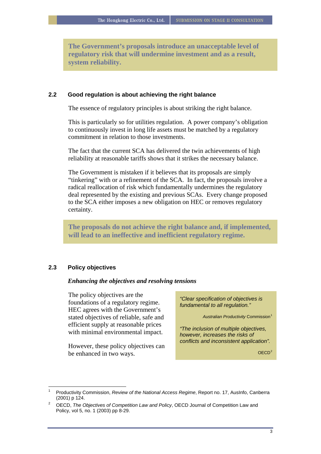**The Government's proposals introduce an unacceptable level of regulatory risk that will undermine investment and as a result, system reliability.** 

## **2.2 Good regulation is about achieving the right balance**

The essence of regulatory principles is about striking the right balance.

This is particularly so for utilities regulation. A power company's obligation to continuously invest in long life assets must be matched by a regulatory commitment in relation to those investments.

The fact that the current SCA has delivered the twin achievements of high reliability at reasonable tariffs shows that it strikes the necessary balance.

The Government is mistaken if it believes that its proposals are simply "tinkering" with or a refinement of the SCA. In fact, the proposals involve a radical reallocation of risk which fundamentally undermines the regulatory deal represented by the existing and previous SCAs. Every change proposed to the SCA either imposes a new obligation on HEC or removes regulatory certainty.

**The proposals do not achieve the right balance and, if implemented, will lead to an ineffective and inefficient regulatory regime.** 

## **2.3 Policy objectives**

 $\overline{a}$ 

#### *Enhancing the objectives and resolving tensions*

The policy objectives are the foundations of a regulatory regime. HEC agrees with the Government's stated objectives of reliable, safe and efficient supply at reasonable prices with minimal environmental impact.

*conflicts and inconsistent application".* However, these policy objectives can be enhanced in two ways.  $OECD<sup>2</sup>$  $OECD<sup>2</sup>$  $OECD<sup>2</sup>$ 

*"Clear specification of objectives is fundamental to all regulation."* 

**Australian Productivity Commission**<sup>[1](#page-3-0)</sup>

*"The inclusion of multiple objectives, however, increases the risks of* 

<span id="page-3-0"></span><sup>1</sup> Productivity Commission, *Review of the National Access Regime*, Report no. 17, AusInfo, Canberra (2001) p 124. 2 OECD, *The Objectives of Competition Law and Policy*, OECD Journal of Competition Law and

<span id="page-3-1"></span>Policy, vol 5, no. 1 (2003) pp 8-29.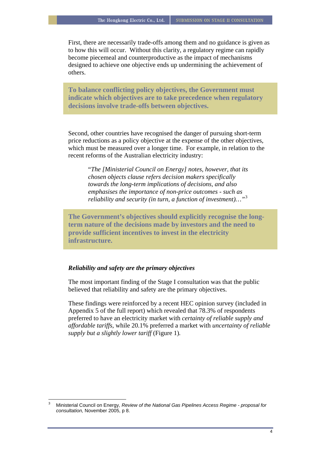First, there are necessarily trade-offs among them and no guidance is given as to how this will occur. Without this clarity, a regulatory regime can rapidly become piecemeal and counterproductive as the impact of mechanisms designed to achieve one objective ends up undermining the achievement of others.

**To balance conflicting policy objectives, the Government must indicate which objectives are to take precedence when regulatory decisions involve trade-offs between objectives.** 

Second, other countries have recognised the danger of pursuing short-term price reductions as a policy objective at the expense of the other objectives, which must be measured over a longer time. For example, in relation to the recent reforms of the Australian electricity industry:

"*The [Ministerial Council on Energy] notes, however, that its chosen objects clause refers decision makers specifically towards the long-term implications of decisions, and also emphasises the importance of non-price outcomes - such as reliability and security (in turn, a function of investment)…"*[3](#page-4-0)

**The Government's objectives should explicitly recognise the longterm nature of the decisions made by investors and the need to provide sufficient incentives to invest in the electricity infrastructure.** 

## *Reliability and safety are the primary objectives*

 $\overline{a}$ 

The most important finding of the Stage I consultation was that the public believed that reliability and safety are the primary objectives.

These findings were reinforced by a recent HEC opinion survey (included in Appendix 5 of the full report) which revealed that 78.3% of respondents preferred to have an electricity market with *certainty of reliable supply and affordable tariffs*, while 20.1% preferred a market with *uncertainty of reliable supply but a slightly lower tariff* [\(Figure 1](#page-5-0))*.*

<span id="page-4-0"></span><sup>3</sup> Ministerial Council on Energy, *Review of the National Gas Pipelines Access Regime - proposal for consultation,* November 2005, p 8.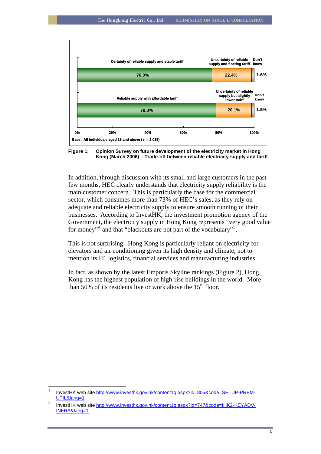

<span id="page-5-0"></span>**Kong (March 2006) – Trade-off between reliable electricity supply and tariff** 

In addition, through discussion with its small and large customers in the past few months, HEC clearly understands that electricity supply reliability is the main customer concern. This is particularly the case for the commercial sector, which consumes more than 73% of HEC's sales, as they rely on adequate and reliable electricity supply to ensure smooth running of their businesses. According to InvestHK, the investment promotion agency of the Government, the electricity supply in Hong Kong represents "very good value for money"<sup>[4](#page-5-1)</sup> and that "blackouts are not part of the vocabulary"<sup>[5](#page-5-2)</sup>.

This is not surprising. Hong Kong is particularly reliant on electricity for elevators and air conditioning given its high density and climate, not to mention its IT, logistics, financial services and manufacturing industries.

In fact, as shown by the latest Emporis Skyline rankings ([Figure 2\)](#page-6-0), Hong Kong has the highest population of high-rise buildings in the world. More than  $50\%$  of its residents live or work above the  $15<sup>th</sup>$  floor.

 $\overline{a}$ 

<span id="page-5-1"></span><sup>4</sup> InvestHK web site [http://www.investhk.gov.hk/content1q.aspx?id=805&code=SETUP-PREM-](http://www.investhk.gov.hk/content1q.aspx?id=805&code=SETUP-PREM-UTIL&lang=1)[UTIL&lang=1](http://www.investhk.gov.hk/content1q.aspx?id=805&code=SETUP-PREM-UTIL&lang=1)

<span id="page-5-2"></span><sup>5</sup> InvestHK web site [http://www.investhk.gov.hk/content1q.aspx?id=747&code=IHK2-KEYADV-](http://www.investhk.gov.hk/content1q.aspx?id=747&code=IHK2-KEYADV-INFRA&lang=1)[INFRA&lang=1](http://www.investhk.gov.hk/content1q.aspx?id=747&code=IHK2-KEYADV-INFRA&lang=1)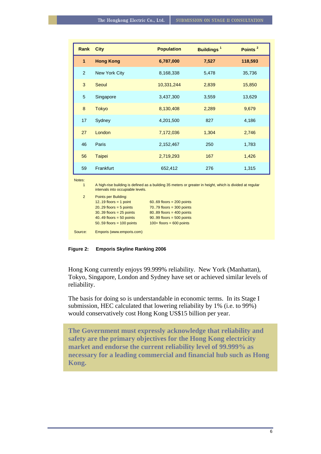| Rank                   | <b>City</b>                                                                                                                                    | <b>Population</b> | <b>Buildings<sup>1</sup></b> | Points <sup>2</sup> |
|------------------------|------------------------------------------------------------------------------------------------------------------------------------------------|-------------------|------------------------------|---------------------|
| $\mathbf{1}$           | <b>Hong Kong</b>                                                                                                                               | 6,787,000         | 7,527                        | 118,593             |
| $\overline{2}$         | New York City                                                                                                                                  | 8,168,338         | 5,478                        | 35,736              |
| 3                      | Seoul                                                                                                                                          | 10,331,244        | 2,839                        | 15,850              |
| 5                      | Singapore                                                                                                                                      | 3,437,300         | 3,559                        | 13,629              |
| 8                      | <b>Tokyo</b>                                                                                                                                   | 8,130,408         | 2,289                        | 9,679               |
| 17                     | Sydney                                                                                                                                         | 4,201,500         | 827                          | 4,186               |
| 27                     | London                                                                                                                                         | 7,172,036         | 1,304                        | 2,746               |
| 46                     | Paris                                                                                                                                          | 2,152,467         | 250                          | 1,783               |
| 56                     | <b>Taipei</b>                                                                                                                                  | 2,719,293         | 167                          | 1,426               |
| 59                     | Frankfurt                                                                                                                                      | 652,412           | 276                          | 1,315               |
| Notes:<br>$\mathbf{1}$ | A high-rise building is defined as a building 35 meters or greater in height, which is divided at regular<br>intervals into occupiable levels. |                   |                              |                     |

| 2       | Points per Building:       |                            |  |  |
|---------|----------------------------|----------------------------|--|--|
|         | 1219 floors = 1 point      | $6069$ floors = 200 points |  |  |
|         | $2029$ floors = 5 points   | $7079$ floors = 300 points |  |  |
|         | $3039$ floors = 25 points  | $8089$ floors = 400 points |  |  |
|         | $4049$ floors = 50 points  | $9099$ floors = 500 points |  |  |
|         | $5059$ floors = 100 points | $100+$ floors = 600 points |  |  |
| Source: | Emporis (www.emporis.com)  |                            |  |  |

<span id="page-6-0"></span>**Figure 2: Emporis Skyline Ranking 2006** 

Hong Kong currently enjoys 99.999% reliability. New York (Manhattan), Tokyo, Singapore, London and Sydney have set or achieved similar levels of reliability.

The basis for doing so is understandable in economic terms. In its Stage I submission, HEC calculated that lowering reliability by 1% (i.e. to 99%) would conservatively cost Hong Kong US\$15 billion per year.

**The Government must expressly acknowledge that reliability and safety are the primary objectives for the Hong Kong electricity market and endorse the current reliability level of 99.999% as necessary for a leading commercial and financial hub such as Hong Kong.**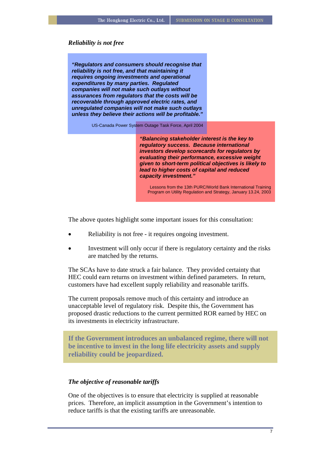#### *Reliability is not free*

*"Regulators and consumers should recognise that reliability is not free, and that maintaining it requires ongoing investments and operational expenditures by many parties. Regulated companies will not make such outlays without assurances from regulators that the costs will be recoverable through approved electric rates, and unregulated companies will not make such outlays unless they believe their actions will be profitable."*

US-Canada Power System Outage Task Force, April 2004

*"Balancing stakeholder interest is the key to regulatory success. Because international investors develop scorecards for regulators by evaluating their performance, excessive weight given to short-term political objectives is likely to lead to higher costs of capital and reduced capacity investment."* 

Lessons from the 13th PURC/World Bank International Training Program on Utility Regulation and Strategy, January 13.24, 2003

The above quotes highlight some important issues for this consultation:

- Reliability is not free it requires ongoing investment.
- Investment will only occur if there is regulatory certainty and the risks are matched by the returns.

The SCAs have to date struck a fair balance. They provided certainty that HEC could earn returns on investment within defined parameters. In return, customers have had excellent supply reliability and reasonable tariffs.

The current proposals remove much of this certainty and introduce an unacceptable level of regulatory risk. Despite this, the Government has proposed drastic reductions to the current permitted ROR earned by HEC on its investments in electricity infrastructure.

**If the Government introduces an unbalanced regime, there will not be incentive to invest in the long life electricity assets and supply reliability could be jeopardized.** 

#### *The objective of reasonable tariffs*

One of the objectives is to ensure that electricity is supplied at reasonable prices. Therefore, an implicit assumption in the Government's intention to reduce tariffs is that the existing tariffs are unreasonable.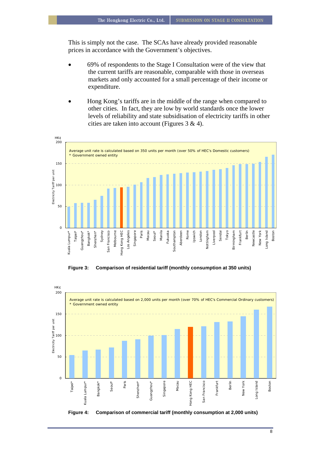This is simply not the case. The SCAs have already provided reasonable prices in accordance with the Government's objectives.

- 69% of respondents to the Stage I Consultation were of the view that the current tariffs are reasonable, comparable with those in overseas markets and only accounted for a small percentage of their income or expenditure.
- Hong Kong's tariffs are in the middle of the range when compared to other cities. In fact, they are low by world standards once the lower levels of reliability and state subsidisation of electricity tariffs in other cities are taken into account (Figures 3 & 4).



**Figure 3: Comparison of residential tariff (monthly consumption at 350 units)** 



**Figure 4: Comparison of commercial tariff (monthly consumption at 2,000 units)**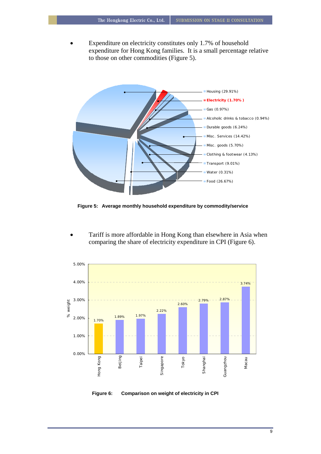• Expenditure on electricity constitutes only 1.7% of household expenditure for Hong Kong families. It is a small percentage relative to those on other commodities (Figure 5).



**Figure 5: Average monthly household expenditure by commodity/service** 

Tariff is more affordable in Hong Kong than elsewhere in Asia when comparing the share of electricity expenditure in CPI (Figure 6).



**Figure 6: Comparison on weight of electricity in CPI**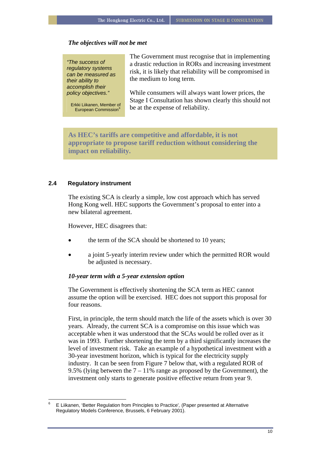#### *The objectives will not be met*

*"The success of regulatory systems can be measured as their ability to accomplish their* 

European Commission<sup>[6](#page-10-0)</sup>

The Government must recognise that in implementing a drastic reduction in RORs and increasing investment risk, it is likely that reliability will be compromised in the medium to long term.

While consumers will always want lower prices, the Stage I Consultation has shown clearly this should not Erkki Liikanen, Member of beat the expense of reliability.

**As HEC's tariffs are competitive and affordable, it is not appropriate to propose tariff reduction without considering the impact on reliability.** 

#### **2.4 Regulatory instrument**

 $\overline{a}$ 

The existing SCA is clearly a simple, low cost approach which has served Hong Kong well. HEC supports the Government's proposal to enter into a new bilateral agreement.

However, HEC disagrees that:

- the term of the SCA should be shortened to 10 years;
- a joint 5-yearly interim review under which the permitted ROR would be adjusted is necessary.

#### *10-year term with a 5-year extension option*

The Government is effectively shortening the SCA term as HEC cannot assume the option will be exercised. HEC does not support this proposal for four reasons.

First, in principle, the term should match the life of the assets which is over 30 years. Already, the current SCA is a compromise on this issue which was acceptable when it was understood that the SCAs would be rolled over as it was in 1993. Further shortening the term by a third significantly increases the level of investment risk. Take an example of a hypothetical investment with a 30-year investment horizon, which is typical for the electricity supply industry. It can be seen from Figure 7 below that, with a regulated ROR of 9.5% (lying between the  $7 - 11\%$  range as proposed by the Government), the investment only starts to generate positive effective return from year 9.

<span id="page-10-0"></span><sup>6</sup> E Liikanen, 'Better Regulation from Principles to Practice'*,* (Paper presented at Alternative Regulatory Models Conference, Brussels, 6 February 2001).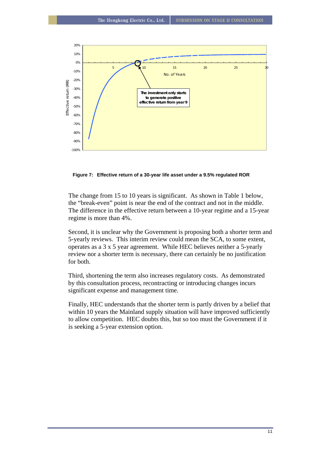

**Figure 7: Effective return of a 30-year life asset under a 9.5% regulated ROR** 

The change from 15 to 10 years is significant. As shown in Table 1 below, the "break-even" point is near the end of the contract and not in the middle. The difference in the effective return between a 10-year regime and a 15-year regime is more than 4%.

Second, it is unclear why the Government is proposing both a shorter term and 5-yearly reviews. This interim review could mean the SCA, to some extent, operates as a 3 x 5 year agreement. While HEC believes neither a 5-yearly review nor a shorter term is necessary, there can certainly be no justification for both.

Third, shortening the term also increases regulatory costs. As demonstrated by this consultation process, recontracting or introducing changes incurs significant expense and management time.

Finally, HEC understands that the shorter term is partly driven by a belief that within 10 years the Mainland supply situation will have improved sufficiently to allow competition. HEC doubts this, but so too must the Government if it is seeking a 5-year extension option.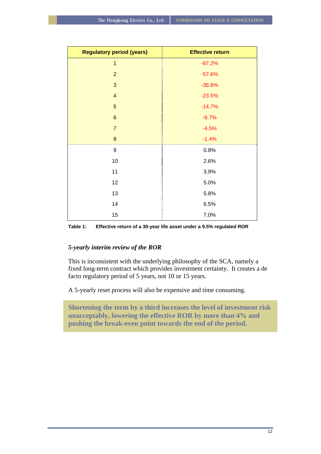| <b>Regulatory period (years)</b> | <b>Effective return</b> |  |
|----------------------------------|-------------------------|--|
| $\overline{1}$                   | $-87.2%$                |  |
| $\overline{2}$                   | $-57.6%$                |  |
| $\mathbf{3}$                     | $-36.8%$                |  |
| $\overline{4}$                   | $-23.5%$                |  |
| $\overline{5}$                   | $-14.7%$                |  |
| $\,6$                            | $-8.7%$                 |  |
| $\overline{7}$                   | $-4.5%$                 |  |
| $\bf 8$                          | $-1.4%$                 |  |
| 9                                | 0.8%                    |  |
| 10                               | 2.6%                    |  |
| 11                               | 3.9%                    |  |
| 12                               | 5.0%                    |  |
| 13                               | 5.8%                    |  |
| 14                               | 6.5%                    |  |
| 15                               | 7.0%                    |  |

**Table 1: Effective return of a 30-year life asset under a 9.5% regulated ROR** 

## *5-yearly interim review of the ROR*

This is inconsistent with the underlying philosophy of the SCA, namely a fixed long-term contract which provides investment certainty. It creates a de facto regulatory period of 5 years, not 10 or 15 years.

A 5-yearly reset process will also be expensive and time consuming.

**Shortening the term by a third increases the level of investment risk unacceptably, lowering the effective ROR by more than 4% and pushing the break-even point towards the end of the period.**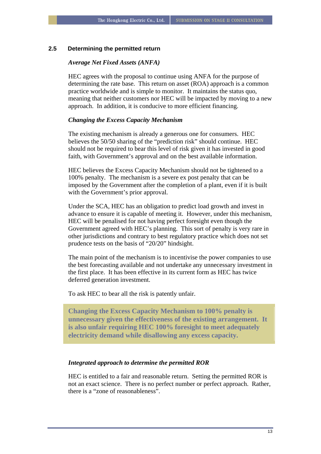#### **2.5 Determining the permitted return**

#### *Average Net Fixed Assets (ANFA)*

HEC agrees with the proposal to continue using ANFA for the purpose of determining the rate base. This return on asset (ROA) approach is a common practice worldwide and is simple to monitor. It maintains the status quo, meaning that neither customers nor HEC will be impacted by moving to a new approach. In addition, it is conducive to more efficient financing.

#### *Changing the Excess Capacity Mechanism*

The existing mechanism is already a generous one for consumers. HEC believes the 50/50 sharing of the "prediction risk" should continue. HEC should not be required to bear this level of risk given it has invested in good faith, with Government's approval and on the best available information.

HEC believes the Excess Capacity Mechanism should not be tightened to a 100% penalty. The mechanism is a severe ex post penalty that can be imposed by the Government after the completion of a plant, even if it is built with the Government's prior approval.

Under the SCA, HEC has an obligation to predict load growth and invest in advance to ensure it is capable of meeting it. However, under this mechanism, HEC will be penalised for not having perfect foresight even though the Government agreed with HEC's planning. This sort of penalty is very rare in other jurisdictions and contrary to best regulatory practice which does not set prudence tests on the basis of "20/20" hindsight.

The main point of the mechanism is to incentivise the power companies to use the best forecasting available and not undertake any unnecessary investment in the first place. It has been effective in its current form as HEC has twice deferred generation investment.

To ask HEC to bear all the risk is patently unfair.

**Changing the Excess Capacity Mechanism to 100% penalty is unnecessary given the effectiveness of the existing arrangement. It is also unfair requiring HEC 100% foresight to meet adequately electricity demand while disallowing any excess capacity.** 

#### *Integrated approach to determine the permitted ROR*

HEC is entitled to a fair and reasonable return. Setting the permitted ROR is not an exact science. There is no perfect number or perfect approach. Rather, there is a "zone of reasonableness".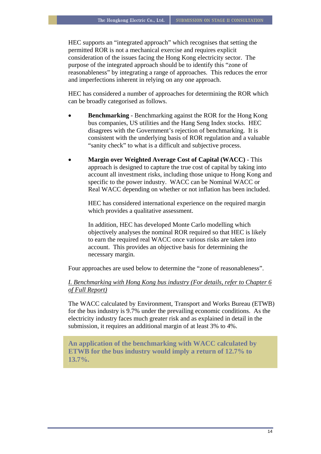HEC supports an "integrated approach" which recognises that setting the permitted ROR is not a mechanical exercise and requires explicit consideration of the issues facing the Hong Kong electricity sector. The purpose of the integrated approach should be to identify this "zone of reasonableness" by integrating a range of approaches. This reduces the error and imperfections inherent in relying on any one approach.

HEC has considered a number of approaches for determining the ROR which can be broadly categorised as follows.

- **Benchmarking** Benchmarking against the ROR for the Hong Kong bus companies, US utilities and the Hang Seng Index stocks. HEC disagrees with the Government's rejection of benchmarking. It is consistent with the underlying basis of ROR regulation and a valuable "sanity check" to what is a difficult and subjective process.
- **Margin over Weighted Average Cost of Capital (WACC)** This approach is designed to capture the true cost of capital by taking into account all investment risks, including those unique to Hong Kong and specific to the power industry. WACC can be Nominal WACC or Real WACC depending on whether or not inflation has been included.

HEC has considered international experience on the required margin which provides a qualitative assessment.

In addition, HEC has developed Monte Carlo modelling which objectively analyses the nominal ROR required so that HEC is likely to earn the required real WACC once various risks are taken into account. This provides an objective basis for determining the necessary margin.

Four approaches are used below to determine the "zone of reasonableness".

## *I. Benchmarking with Hong Kong bus industry (For details, refer to Chapter 6 of Full Report)*

The WACC calculated by Environment, Transport and Works Bureau (ETWB) for the bus industry is 9.7% under the prevailing economic conditions. As the electricity industry faces much greater risk and as explained in detail in the submission, it requires an additional margin of at least 3% to 4%.

**An application of the benchmarking with WACC calculated by ETWB for the bus industry would imply a return of 12.7% to 13.7%.**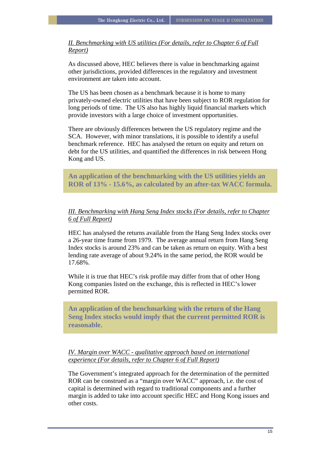*II. Benchmarking with US utilities (For details, refer to Chapter 6 of Full Report)*

As discussed above, HEC believes there is value in benchmarking against other jurisdictions, provided differences in the regulatory and investment environment are taken into account.

The US has been chosen as a benchmark because it is home to many privately-owned electric utilities that have been subject to ROR regulation for long periods of time. The US also has highly liquid financial markets which provide investors with a large choice of investment opportunities.

There are obviously differences between the US regulatory regime and the SCA. However, with minor translations, it is possible to identify a useful benchmark reference. HEC has analysed the return on equity and return on debt for the US utilities, and quantified the differences in risk between Hong Kong and US.

**An application of the benchmarking with the US utilities yields an ROR of 13% - 15.6%, as calculated by an after-tax WACC formula.** 

## *III. Benchmarking with Hang Seng Index stocks (For details, refer to Chapter 6 of Full Report)*

HEC has analysed the returns available from the Hang Seng Index stocks over a 26-year time frame from 1979. The average annual return from Hang Seng Index stocks is around 23% and can be taken as return on equity. With a best lending rate average of about 9.24% in the same period, the ROR would be 17.68%.

While it is true that HEC's risk profile may differ from that of other Hong Kong companies listed on the exchange, this is reflected in HEC's lower permitted ROR.

**An application of the benchmarking with the return of the Hang Seng Index stocks would imply that the current permitted ROR is reasonable.** 

## *IV. Margin over WACC - qualitative approach based on international experience (For details, refer to Chapter 6 of Full Report)*

The Government's integrated approach for the determination of the permitted ROR can be construed as a "margin over WACC" approach, i.e. the cost of capital is determined with regard to traditional components and a further margin is added to take into account specific HEC and Hong Kong issues and other costs.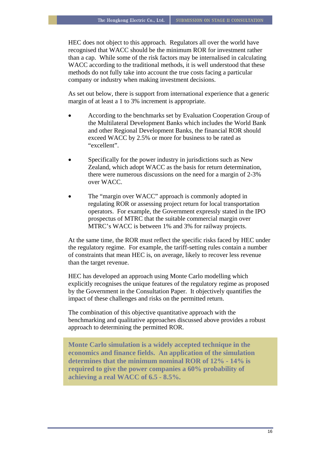HEC does not object to this approach. Regulators all over the world have recognised that WACC should be the minimum ROR for investment rather than a cap. While some of the risk factors may be internalised in calculating WACC according to the traditional methods, it is well understood that these methods do not fully take into account the true costs facing a particular company or industry when making investment decisions.

As set out below, there is support from international experience that a generic margin of at least a 1 to 3% increment is appropriate.

- According to the benchmarks set by Evaluation Cooperation Group of the Multilateral Development Banks which includes the World Bank and other Regional Development Banks, the financial ROR should exceed WACC by 2.5% or more for business to be rated as "excellent".
- Specifically for the power industry in jurisdictions such as New Zealand, which adopt WACC as the basis for return determination, there were numerous discussions on the need for a margin of 2-3% over WACC.
- The "margin over WACC" approach is commonly adopted in regulating ROR or assessing project return for local transportation operators. For example, the Government expressly stated in the IPO prospectus of MTRC that the suitable commercial margin over MTRC's WACC is between 1% and 3% for railway projects.

At the same time, the ROR must reflect the specific risks faced by HEC under the regulatory regime. For example, the tariff-setting rules contain a number of constraints that mean HEC is, on average, likely to recover less revenue than the target revenue.

HEC has developed an approach using Monte Carlo modelling which explicitly recognises the unique features of the regulatory regime as proposed by the Government in the Consultation Paper. It objectively quantifies the impact of these challenges and risks on the permitted return.

The combination of this objective quantitative approach with the benchmarking and qualitative approaches discussed above provides a robust approach to determining the permitted ROR.

**Monte Carlo simulation is a widely accepted technique in the economics and finance fields. An application of the simulation determines that the minimum nominal ROR of 12% - 14% is required to give the power companies a 60% probability of achieving a real WACC of 6.5 - 8.5%.**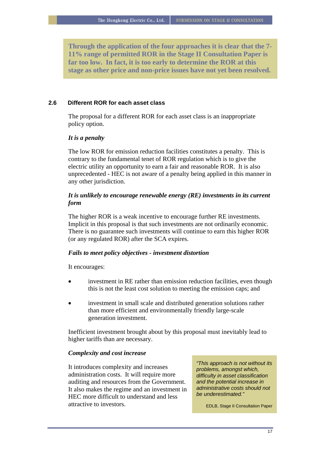**Through the application of the four approaches it is clear that the 7- 11% range of permitted ROR in the Stage II Consultation Paper is far too low. In fact, it is too early to determine the ROR at this stage as other price and non-price issues have not yet been resolved.** 

#### **2.6 Different ROR for each asset class**

The proposal for a different ROR for each asset class is an inappropriate policy option.

## *It is a penalty*

The low ROR for emission reduction facilities constitutes a penalty. This is contrary to the fundamental tenet of ROR regulation which is to give the electric utility an opportunity to earn a fair and reasonable ROR. It is also unprecedented - HEC is not aware of a penalty being applied in this manner in any other jurisdiction.

## *It is unlikely to encourage renewable energy (RE) investments in its current form*

The higher ROR is a weak incentive to encourage further RE investments. Implicit in this proposal is that such investments are not ordinarily economic. There is no guarantee such investments will continue to earn this higher ROR (or any regulated ROR) after the SCA expires.

#### *Fails to meet policy objectives - investment distortion*

It encourages:

- investment in RE rather than emission reduction facilities, even though this is not the least cost solution to meeting the emission caps; and
- investment in small scale and distributed generation solutions rather than more efficient and environmentally friendly large-scale generation investment.

Inefficient investment brought about by this proposal must inevitably lead to higher tariffs than are necessary.

#### *Complexity and cost increase*

It introduces complexity and increases administration costs. It will require more auditing and resources from the Government. It also makes the regime and an investment in HEC more difficult to understand and less attractive to investors.

*"This approach is not without its problems, amongst which, difficulty in asset classification and the potential increase in administrative costs should not be underestimated."* 

EDLB, Stage II Consultation Paper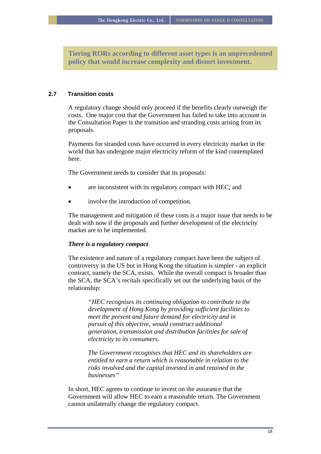**Tiering RORs according to different asset types is an unprecedented policy that would increase complexity and distort investment.** 

## **2.7 Transition costs**

A regulatory change should only proceed if the benefits clearly outweigh the costs. One major cost that the Government has failed to take into account in the Consultation Paper is the transition and stranding costs arising from its proposals.

Payments for stranded costs have occurred in every electricity market in the world that has undergone major electricity reform of the kind contemplated here.

The Government needs to consider that its proposals:

- are inconsistent with its regulatory compact with HEC; and
- involve the introduction of competition.

The management and mitigation of these costs is a major issue that needs to be dealt with now if the proposals and further development of the electricity market are to be implemented.

## *There is a regulatory compact*

The existence and nature of a regulatory compact have been the subject of controversy in the US but in Hong Kong the situation is simpler - an explicit contract, namely the SCA, exists. While the overall compact is broader than the SCA, the SCA's recitals specifically set out the underlying basis of the relationship:

*"HEC recognises its continuing obligation to contribute to the development of Hong Kong by providing sufficient facilities to meet the present and future demand for electricity and in pursuit of this objective, would construct additional generation, transmission and distribution facilities for sale of electricity to its consumers.* 

*The Government recognises that HEC and its shareholders are entitled to earn a return which is reasonable in relation to the risks involved and the capital invested in and retained in the businesses"*

In short, HEC agrees to continue to invest on the assurance that the Government will allow HEC to earn a reasonable return. The Government cannot unilaterally change the regulatory compact.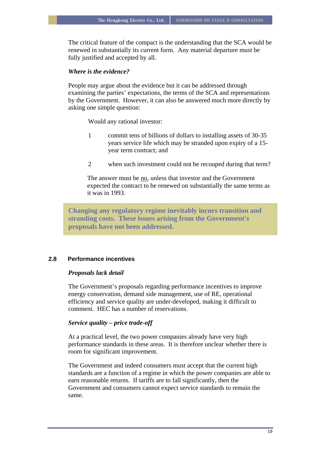The critical feature of the compact is the understanding that the SCA would be renewed in substantially its current form. Any material departure must be fully justified and accepted by all.

## *Where is the evidence?*

People may argue about the evidence but it can be addressed through examining the parties' expectations, the terms of the SCA and representations by the Government. However, it can also be answered much more directly by asking one simple question:

Would any rational investor:

- 1 commit tens of billions of dollars to installing assets of 30-35 years service life which may be stranded upon expiry of a 15 year term contract; and
- 2 when such investment could not be recouped during that term?

The answer must be no, unless that investor and the Government expected the contract to be renewed on substantially the same terms as it was in 1993.

**Changing any regulatory regime inevitably incurs transition and stranding costs. These issues arising from the Government's proposals have not been addressed.** 

## **2.8 Performance incentives**

## *Proposals lack detail*

The Government's proposals regarding performance incentives to improve energy conservation, demand side management, use of RE, operational efficiency and service quality are under-developed, making it difficult to comment. HEC has a number of reservations.

#### *Service quality – price trade-off*

At a practical level, the two power companies already have very high performance standards in these areas. It is therefore unclear whether there is room for significant improvement.

The Government and indeed consumers must accept that the current high standards are a function of a regime in which the power companies are able to earn reasonable returns. If tariffs are to fall significantly, then the Government and consumers cannot expect service standards to remain the same.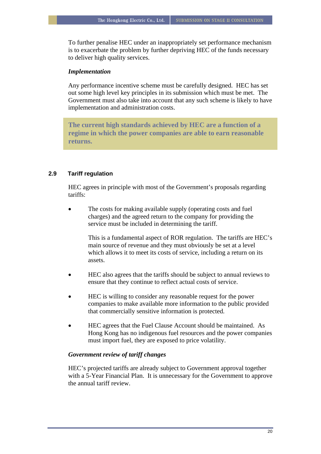To further penalise HEC under an inappropriately set performance mechanism is to exacerbate the problem by further depriving HEC of the funds necessary to deliver high quality services.

#### *Implementation*

Any performance incentive scheme must be carefully designed. HEC has set out some high level key principles in its submission which must be met. The Government must also take into account that any such scheme is likely to have implementation and administration costs.

**The current high standards achieved by HEC are a function of a regime in which the power companies are able to earn reasonable returns.** 

## **2.9 Tariff regulation**

HEC agrees in principle with most of the Government's proposals regarding tariffs:

The costs for making available supply (operating costs and fuel charges) and the agreed return to the company for providing the service must be included in determining the tariff.

> This is a fundamental aspect of ROR regulation. The tariffs are HEC's main source of revenue and they must obviously be set at a level which allows it to meet its costs of service, including a return on its assets.

- HEC also agrees that the tariffs should be subject to annual reviews to ensure that they continue to reflect actual costs of service.
- HEC is willing to consider any reasonable request for the power companies to make available more information to the public provided that commercially sensitive information is protected.
- HEC agrees that the Fuel Clause Account should be maintained. As Hong Kong has no indigenous fuel resources and the power companies must import fuel, they are exposed to price volatility.

## *Government review of tariff changes*

HEC's projected tariffs are already subject to Government approval together with a 5-Year Financial Plan. It is unnecessary for the Government to approve the annual tariff review.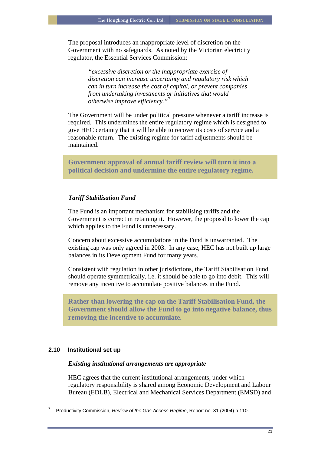The proposal introduces an inappropriate level of discretion on the Government with no safeguards. As noted by the Victorian electricity regulator, the Essential Services Commission:

> *"excessive discretion or the inappropriate exercise of discretion can increase uncertainty and regulatory risk which can in turn increase the cost of capital, or prevent companies from undertaking investments or initiatives that would otherwise improve efficiency."*[7](#page-21-0)

The Government will be under political pressure whenever a tariff increase is required. This undermines the entire regulatory regime which is designed to give HEC certainty that it will be able to recover its costs of service and a reasonable return. The existing regime for tariff adjustments should be maintained.

**Government approval of annual tariff review will turn it into a political decision and undermine the entire regulatory regime.** 

## *Tariff Stabilisation Fund*

The Fund is an important mechanism for stabilising tariffs and the Government is correct in retaining it. However, the proposal to lower the cap which applies to the Fund is unnecessary.

Concern about excessive accumulations in the Fund is unwarranted. The existing cap was only agreed in 2003. In any case, HEC has not built up large balances in its Development Fund for many years.

Consistent with regulation in other jurisdictions, the Tariff Stabilisation Fund should operate symmetrically, i.e. it should be able to go into debit. This will remove any incentive to accumulate positive balances in the Fund.

**Rather than lowering the cap on the Tariff Stabilisation Fund, the Government should allow the Fund to go into negative balance, thus removing the incentive to accumulate.** 

## **2.10 Institutional set up**

## *Existing institutional arrangements are appropriate*

HEC agrees that the current institutional arrangements, under which regulatory responsibility is shared among Economic Development and Labour Bureau (EDLB), Electrical and Mechanical Services Department (EMSD) and

<span id="page-21-0"></span> $\overline{a}$ 7 Productivity Commission, *Review of the Gas Access Regime*, Report no. 31 (2004) p 110.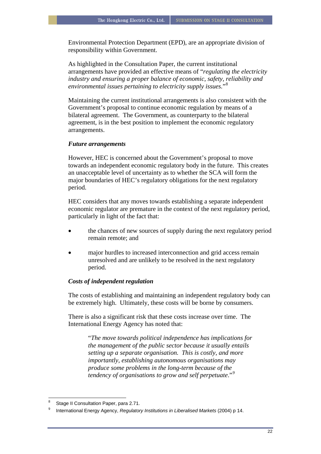Environmental Protection Department (EPD), are an appropriate division of responsibility within Government.

As highlighted in the Consultation Paper, the current institutional arrangements have provided an effective means of "*regulating the electricity industry and ensuring a proper balance of economic, safety, reliability and environmental issues pertaining to electricity supply issues.*"[8](#page-22-0)

Maintaining the current institutional arrangements is also consistent with the Government's proposal to continue economic regulation by means of a bilateral agreement. The Government, as counterparty to the bilateral agreement, is in the best position to implement the economic regulatory arrangements.

#### *Future arrangements*

However, HEC is concerned about the Government's proposal to move towards an independent economic regulatory body in the future. This creates an unacceptable level of uncertainty as to whether the SCA will form the major boundaries of HEC's regulatory obligations for the next regulatory period.

HEC considers that any moves towards establishing a separate independent economic regulator are premature in the context of the next regulatory period, particularly in light of the fact that:

- the chances of new sources of supply during the next regulatory period remain remote; and
- major hurdles to increased interconnection and grid access remain unresolved and are unlikely to be resolved in the next regulatory period.

#### *Costs of independent regulation*

The costs of establishing and maintaining an independent regulatory body can be extremely high. Ultimately, these costs will be borne by consumers.

There is also a significant risk that these costs increase over time. The International Energy Agency has noted that:

> "*The move towards political independence has implications for the management of the public sector because it usually entails setting up a separate organisation. This is costly, and more importantly, establishing autonomous organisations may produce some problems in the long-term because of the tendency of organisations to grow and self perpetuate*."*[9](#page-22-1)*

 $\frac{1}{8}$ Stage II Consultation Paper, para 2.71.

<span id="page-22-1"></span><span id="page-22-0"></span><sup>9</sup> International Energy Agency, *Regulatory Institutions in Liberalised Markets* (2004) p 14.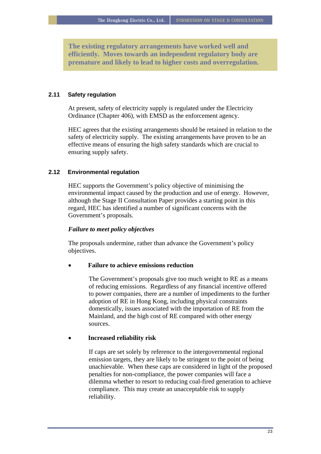**The existing regulatory arrangements have worked well and efficiently. Moves towards an independent regulatory body are premature and likely to lead to higher costs and overregulation.** 

## **2.11 Safety regulation**

At present, safety of electricity supply is regulated under the Electricity Ordinance (Chapter 406), with EMSD as the enforcement agency.

HEC agrees that the existing arrangements should be retained in relation to the safety of electricity supply. The existing arrangements have proven to be an effective means of ensuring the high safety standards which are crucial to ensuring supply safety.

#### **2.12 Environmental regulation**

HEC supports the Government's policy objective of minimising the environmental impact caused by the production and use of energy. However, although the Stage II Consultation Paper provides a starting point in this regard, HEC has identified a number of significant concerns with the Government's proposals.

#### *Failure to meet policy objectives*

The proposals undermine, rather than advance the Government's policy objectives.

#### • **Failure to achieve emissions reduction**

The Government's proposals give too much weight to RE as a means of reducing emissions. Regardless of any financial incentive offered to power companies, there are a number of impediments to the further adoption of RE in Hong Kong, including physical constraints domestically, issues associated with the importation of RE from the Mainland, and the high cost of RE compared with other energy sources.

## • **Increased reliability risk**

If caps are set solely by reference to the intergovernmental regional emission targets, they are likely to be stringent to the point of being unachievable. When these caps are considered in light of the proposed penalties for non-compliance, the power companies will face a dilemma whether to resort to reducing coal-fired generation to achieve compliance. This may create an unacceptable risk to supply reliability.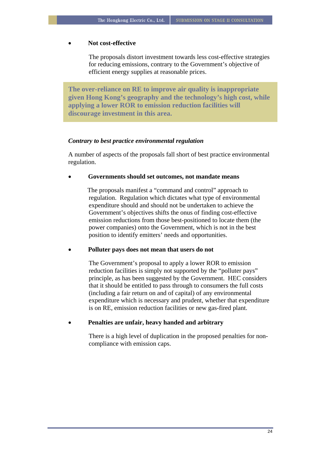#### • **Not cost-effective**

The proposals distort investment towards less cost-effective strategies for reducing emissions, contrary to the Government's objective of efficient energy supplies at reasonable prices.

**The over-reliance on RE to improve air quality is inappropriate given Hong Kong's geography and the technology's high cost, while applying a lower ROR to emission reduction facilities will discourage investment in this area.** 

#### *Contrary to best practice environmental regulation*

A number of aspects of the proposals fall short of best practice environmental regulation.

#### • **Governments should set outcomes, not mandate means**

The proposals manifest a "command and control" approach to regulation. Regulation which dictates what type of environmental expenditure should and should not be undertaken to achieve the Government's objectives shifts the onus of finding cost-effective emission reductions from those best-positioned to locate them (the power companies) onto the Government, which is not in the best position to identify emitters' needs and opportunities.

#### • **Polluter pays does not mean that users do not**

The Government's proposal to apply a lower ROR to emission reduction facilities is simply not supported by the "polluter pays" principle, as has been suggested by the Government. HEC considers that it should be entitled to pass through to consumers the full costs (including a fair return on and of capital) of any environmental expenditure which is necessary and prudent, whether that expenditure is on RE, emission reduction facilities or new gas-fired plant.

• **Penalties are unfair, heavy handed and arbitrary**

There is a high level of duplication in the proposed penalties for noncompliance with emission caps.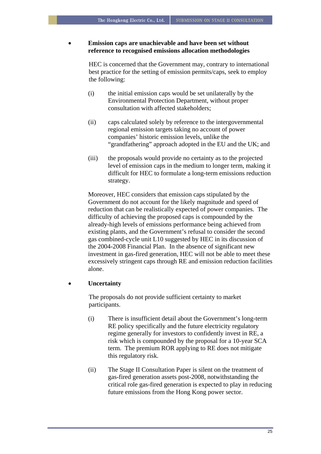## • **Emission caps are unachievable and have been set without reference to recognised emissions allocation methodologies**

HEC is concerned that the Government may, contrary to international best practice for the setting of emission permits/caps, seek to employ the following:

- (i) the initial emission caps would be set unilaterally by the Environmental Protection Department, without proper consultation with affected stakeholders;
- (ii) caps calculated solely by reference to the intergovernmental regional emission targets taking no account of power companies' historic emission levels, unlike the "grandfathering" approach adopted in the EU and the UK; and
- (iii) the proposals would provide no certainty as to the projected level of emission caps in the medium to longer term, making it difficult for HEC to formulate a long-term emissions reduction strategy.

Moreover, HEC considers that emission caps stipulated by the Government do not account for the likely magnitude and speed of reduction that can be realistically expected of power companies. The difficulty of achieving the proposed caps is compounded by the already-high levels of emissions performance being achieved from existing plants, and the Government's refusal to consider the second gas combined-cycle unit L10 suggested by HEC in its discussion of the 2004-2008 Financial Plan. In the absence of significant new investment in gas-fired generation, HEC will not be able to meet these excessively stringent caps through RE and emission reduction facilities alone.

## • **Uncertainty**

The proposals do not provide sufficient certainty to market participants.

- (i) There is insufficient detail about the Government's long-term RE policy specifically and the future electricity regulatory regime generally for investors to confidently invest in RE, a risk which is compounded by the proposal for a 10-year SCA term. The premium ROR applying to RE does not mitigate this regulatory risk.
- (ii) The Stage II Consultation Paper is silent on the treatment of gas-fired generation assets post-2008, notwithstanding the critical role gas-fired generation is expected to play in reducing future emissions from the Hong Kong power sector.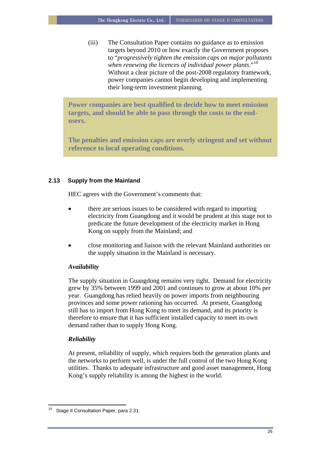(iii) The Consultation Paper contains no guidance as to emission targets beyond 2010 or how exactly the Government proposes to "*progressively tighten the emission caps on major pollutants when renewing the licences of individual power plants*."[10](#page-26-0) Without a clear picture of the post-2008 regulatory framework, power companies cannot begin developing and implementing their long-term investment planning.

**Power companies are best qualified to decide how to meet emission targets, and should be able to pass through the costs to the endusers.** 

**The penalties and emission caps are overly stringent and set without reference to local operating conditions.** 

## **2.13 Supply from the Mainland**

HEC agrees with the Government's comments that:

- there are serious issues to be considered with regard to importing electricity from Guangdong and it would be prudent at this stage not to predicate the future development of the electricity market in Hong Kong on supply from the Mainland; and
- close monitoring and liaison with the relevant Mainland authorities on the supply situation in the Mainland is necessary.

## *Availability*

The supply situation in Guangdong remains very tight. Demand for electricity grew by 35% between 1999 and 2001 and continues to grow at about 10% per year. Guangdong has relied heavily on power imports from neighbouring provinces and some power rationing has occurred. At present, Guangdong still has to import from Hong Kong to meet its demand, and its priority is therefore to ensure that it has sufficient installed capacity to meet its own demand rather than to supply Hong Kong.

## *Reliability*

At present, reliability of supply, which requires both the generation plants and the networks to perform well, is under the full control of the two Hong Kong utilities. Thanks to adequate infrastructure and good asset management, Hong Kong's supply reliability is among the highest in the world.

<span id="page-26-0"></span> $\overline{a}$ Stage II Consultation Paper, para 2.31.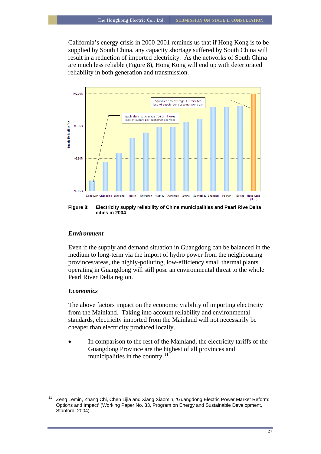California's energy crisis in 2000-2001 reminds us that if Hong Kong is to be supplied by South China, any capacity shortage suffered by South China will result in a reduction of imported electricity. As the networks of South China are much less reliable [\(Figure 8](#page-27-0)), Hong Kong will end up with deteriorated reliability in both generation and transmission.



<span id="page-27-0"></span>**Figure 8: Electricity supply reliability of China municipalities and Pearl Rive Delta cities in 2004** 

#### *Environment*

Even if the supply and demand situation in Guangdong can be balanced in the medium to long-term via the import of hydro power from the neighbouring provinces/areas, the highly-polluting, low-efficiency small thermal plants operating in Guangdong will still pose an environmental threat to the whole Pearl River Delta region.

## *Economics*

The above factors impact on the economic viability of importing electricity from the Mainland. Taking into account reliability and environmental standards, electricity imported from the Mainland will not necessarily be cheaper than electricity produced locally.

In comparison to the rest of the Mainland, the electricity tariffs of the Guangdong Province are the highest of all provinces and municipalities in the country. $^{11}$  $^{11}$  $^{11}$ 

<span id="page-27-1"></span> $\overline{\phantom{a}}$ 11 Zeng Lemin, Zhang Chi, Chen Lijia and Xiang Xiaomin, 'Guangdong Electric Power Market Reform: Options and Impact' (Working Paper No. 33, Program on Energy and Sustainable Development, Stanford, 2004).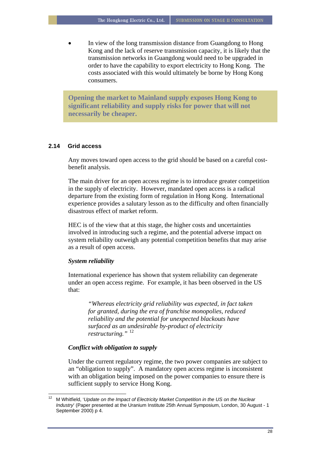In view of the long transmission distance from Guangdong to Hong Kong and the lack of reserve transmission capacity, it is likely that the transmission networks in Guangdong would need to be upgraded in order to have the capability to export electricity to Hong Kong. The costs associated with this would ultimately be borne by Hong Kong consumers.

**Opening the market to Mainland supply exposes Hong Kong to significant reliability and supply risks for power that will not necessarily be cheaper.** 

#### **2.14 Grid access**

Any moves toward open access to the grid should be based on a careful costbenefit analysis.

The main driver for an open access regime is to introduce greater competition in the supply of electricity. However, mandated open access is a radical departure from the existing form of regulation in Hong Kong. International experience provides a salutary lesson as to the difficulty and often financially disastrous effect of market reform.

HEC is of the view that at this stage, the higher costs and uncertainties involved in introducing such a regime, and the potential adverse impact on system reliability outweigh any potential competition benefits that may arise as a result of open access.

#### *System reliability*

 $\overline{\phantom{a}}$ 

International experience has shown that system reliability can degenerate under an open access regime. For example, it has been observed in the US that:

*"Whereas electricity grid reliability was expected, in fact taken for granted, during the era of franchise monopolies, reduced reliability and the potential for unexpected blackouts have surfaced as an undesirable by-product of electricity restructuring."* [12](#page-28-0)

#### *Conflict with obligation to supply*

Under the current regulatory regime, the two power companies are subject to an "obligation to supply". A mandatory open access regime is inconsistent with an obligation being imposed on the power companies to ensure there is sufficient supply to service Hong Kong.

<span id="page-28-0"></span><sup>12</sup> M Whitfield, '*Update on the Impact of Electricity Market Competition in the US on the Nuclear Industry*' (Paper presented at the Uranium Institute 25th Annual Symposium, London, 30 August - 1 September 2000) p 4.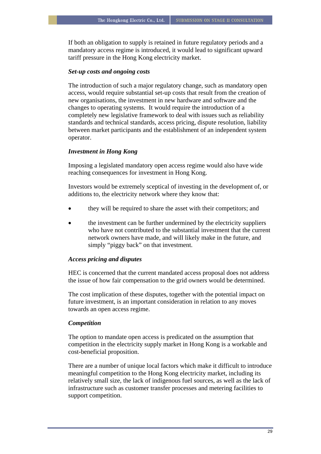If both an obligation to supply is retained in future regulatory periods and a mandatory access regime is introduced, it would lead to significant upward tariff pressure in the Hong Kong electricity market.

## *Set-up costs and ongoing costs*

The introduction of such a major regulatory change, such as mandatory open access, would require substantial set-up costs that result from the creation of new organisations, the investment in new hardware and software and the changes to operating systems. It would require the introduction of a completely new legislative framework to deal with issues such as reliability standards and technical standards, access pricing, dispute resolution, liability between market participants and the establishment of an independent system operator.

## *Investment in Hong Kong*

Imposing a legislated mandatory open access regime would also have wide reaching consequences for investment in Hong Kong.

Investors would be extremely sceptical of investing in the development of, or additions to, the electricity network where they know that:

- they will be required to share the asset with their competitors; and
- the investment can be further undermined by the electricity suppliers who have not contributed to the substantial investment that the current network owners have made, and will likely make in the future, and simply "piggy back" on that investment.

#### *Access pricing and disputes*

HEC is concerned that the current mandated access proposal does not address the issue of how fair compensation to the grid owners would be determined.

The cost implication of these disputes, together with the potential impact on future investment, is an important consideration in relation to any moves towards an open access regime.

#### *Competition*

The option to mandate open access is predicated on the assumption that competition in the electricity supply market in Hong Kong is a workable and cost-beneficial proposition.

There are a number of unique local factors which make it difficult to introduce meaningful competition to the Hong Kong electricity market, including its relatively small size, the lack of indigenous fuel sources, as well as the lack of infrastructure such as customer transfer processes and metering facilities to support competition.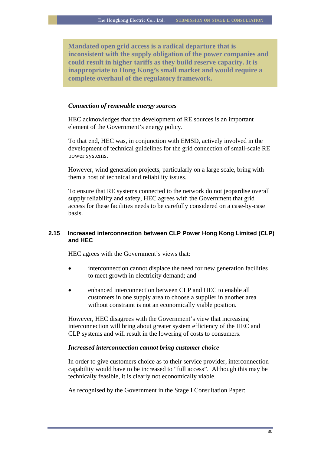**Mandated open grid access is a radical departure that is inconsistent with the supply obligation of the power companies and could result in higher tariffs as they build reserve capacity. It is inappropriate to Hong Kong's small market and would require a complete overhaul of the regulatory framework.** 

## *Connection of renewable energy sources*

HEC acknowledges that the development of RE sources is an important element of the Government's energy policy.

To that end, HEC was, in conjunction with EMSD, actively involved in the development of technical guidelines for the grid connection of small-scale RE power systems.

However, wind generation projects, particularly on a large scale, bring with them a host of technical and reliability issues.

To ensure that RE systems connected to the network do not jeopardise overall supply reliability and safety, HEC agrees with the Government that grid access for these facilities needs to be carefully considered on a case-by-case basis.

## **2.15 Increased interconnection between CLP Power Hong Kong Limited (CLP) and HEC**

HEC agrees with the Government's views that:

- interconnection cannot displace the need for new generation facilities to meet growth in electricity demand; and
- enhanced interconnection between CLP and HEC to enable all customers in one supply area to choose a supplier in another area without constraint is not an economically viable position.

However, HEC disagrees with the Government's view that increasing interconnection will bring about greater system efficiency of the HEC and CLP systems and will result in the lowering of costs to consumers.

## *Increased interconnection cannot bring customer choice*

In order to give customers choice as to their service provider, interconnection capability would have to be increased to "full access". Although this may be technically feasible, it is clearly not economically viable.

As recognised by the Government in the Stage I Consultation Paper: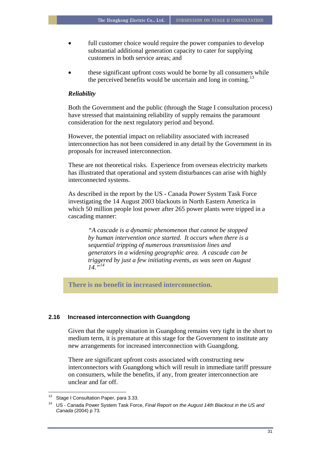- full customer choice would require the power companies to develop substantial additional generation capacity to cater for supplying customers in both service areas; and
- these significant upfront costs would be borne by all consumers while the perceived benefits would be uncertain and long in coming.<sup>[13](#page-31-0)</sup>

#### *Reliability*

Both the Government and the public (through the Stage I consultation process) have stressed that maintaining reliability of supply remains the paramount consideration for the next regulatory period and beyond.

However, the potential impact on reliability associated with increased interconnection has not been considered in any detail by the Government in its proposals for increased interconnection.

These are not theoretical risks. Experience from overseas electricity markets has illustrated that operational and system disturbances can arise with highly interconnected systems.

As described in the report by the US - Canada Power System Task Force investigating the 14 August 2003 blackouts in North Eastern America in which 50 million people lost power after 265 power plants were tripped in a cascading manner:

*"A cascade is a dynamic phenomenon that cannot be stopped by human intervention once started. It occurs when there is a sequential tripping of numerous transmission lines and generators in a widening geographic area. A cascade can be triggered by just a few initiating events, as was seen on August 14."[14](#page-31-1)*

**There is no benefit in increased interconnection.** 

#### **2.16 Increased interconnection with Guangdong**

Given that the supply situation in Guangdong remains very tight in the short to medium term, it is premature at this stage for the Government to institute any new arrangements for increased interconnection with Guangdong.

There are significant upfront costs associated with constructing new interconnectors with Guangdong which will result in immediate tariff pressure on consumers, while the benefits, if any, from greater interconnection are unclear and far off.

<span id="page-31-1"></span><span id="page-31-0"></span><sup>13</sup> Stage I Consultation Paper, para 3.33.

<sup>14</sup> US - Canada Power System Task Force, *Final Report on the August 14th Blackout in the US and Canada* (2004) p 73.